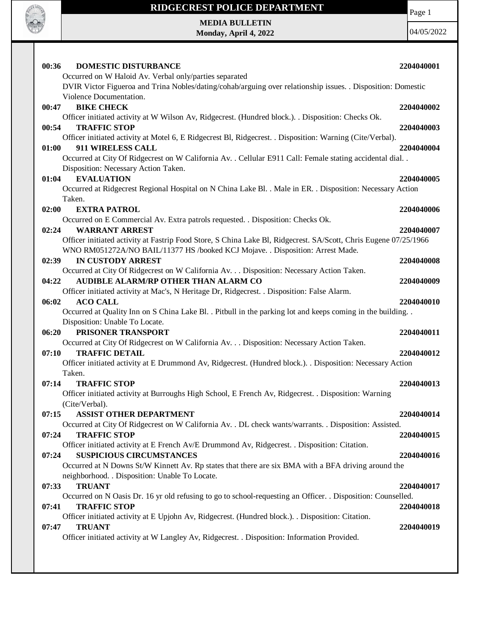

#### **RIDGECREST POLICE DEPARTMENT**

Page 1

**MEDIA BULLETIN Monday, April 4, 2022**

| 00:36          | <b>DOMESTIC DISTURBANCE</b>                                                                                      | 2204040001 |
|----------------|------------------------------------------------------------------------------------------------------------------|------------|
|                | Occurred on W Haloid Av. Verbal only/parties separated                                                           |            |
|                | DVIR Victor Figueroa and Trina Nobles/dating/cohab/arguing over relationship issues. . Disposition: Domestic     |            |
|                | Violence Documentation.                                                                                          |            |
| 00:47          | <b>BIKE CHECK</b>                                                                                                | 2204040002 |
|                | Officer initiated activity at W Wilson Av, Ridgecrest. (Hundred block.). . Disposition: Checks Ok.               |            |
| 00:54          | <b>TRAFFIC STOP</b>                                                                                              | 2204040003 |
|                | Officer initiated activity at Motel 6, E Ridgecrest Bl, Ridgecrest. . Disposition: Warning (Cite/Verbal).        |            |
| 01:00          | 911 WIRELESS CALL                                                                                                | 2204040004 |
|                | Occurred at City Of Ridgecrest on W California Av. . Cellular E911 Call: Female stating accidental dial. .       |            |
|                | Disposition: Necessary Action Taken.                                                                             |            |
| 01:04          | <b>EVALUATION</b>                                                                                                | 2204040005 |
|                | Occurred at Ridgecrest Regional Hospital on N China Lake Bl. . Male in ER. . Disposition: Necessary Action       |            |
| Taken.         |                                                                                                                  |            |
| 02:00          | <b>EXTRA PATROL</b>                                                                                              | 2204040006 |
|                | Occurred on E Commercial Av. Extra patrols requested. . Disposition: Checks Ok.                                  |            |
| 02:24          | <b>WARRANT ARREST</b>                                                                                            | 2204040007 |
|                | Officer initiated activity at Fastrip Food Store, S China Lake Bl, Ridgecrest. SA/Scott, Chris Eugene 07/25/1966 |            |
|                | WNO RM051272A/NO BAIL/11377 HS /booked KCJ Mojave. . Disposition: Arrest Made.                                   |            |
| 02:39          | <b>IN CUSTODY ARREST</b>                                                                                         | 2204040008 |
|                | Occurred at City Of Ridgecrest on W California Av. Disposition: Necessary Action Taken.                          |            |
| 04:22          | AUDIBLE ALARM/RP OTHER THAN ALARM CO                                                                             | 2204040009 |
|                | Officer initiated activity at Mac's, N Heritage Dr, Ridgecrest. . Disposition: False Alarm.                      |            |
| 06:02          | <b>ACO CALL</b>                                                                                                  | 2204040010 |
|                | Occurred at Quality Inn on S China Lake Bl. . Pitbull in the parking lot and keeps coming in the building. .     |            |
|                | Disposition: Unable To Locate.                                                                                   |            |
| 06:20          | PRISONER TRANSPORT                                                                                               | 2204040011 |
|                | Occurred at City Of Ridgecrest on W California Av. Disposition: Necessary Action Taken.                          |            |
| 07:10          | <b>TRAFFIC DETAIL</b>                                                                                            | 2204040012 |
|                | Officer initiated activity at E Drummond Av, Ridgecrest. (Hundred block.). . Disposition: Necessary Action       |            |
| Taken.         |                                                                                                                  |            |
| 07:14          | <b>TRAFFIC STOP</b>                                                                                              | 2204040013 |
|                | Officer initiated activity at Burroughs High School, E French Av, Ridgecrest. . Disposition: Warning             |            |
| (Cite/Verbal). |                                                                                                                  |            |
| 07:15          | <b>ASSIST OTHER DEPARTMENT</b>                                                                                   | 2204040014 |
|                | Occurred at City Of Ridgecrest on W California Av. . DL check wants/warrants. . Disposition: Assisted.           |            |
| 07:24          | <b>TRAFFIC STOP</b>                                                                                              | 2204040015 |
|                | Officer initiated activity at E French Av/E Drummond Av, Ridgecrest. . Disposition: Citation.                    |            |
| 07:24          | <b>SUSPICIOUS CIRCUMSTANCES</b>                                                                                  | 2204040016 |
|                | Occurred at N Downs St/W Kinnett Av. Rp states that there are six BMA with a BFA driving around the              |            |
|                | neighborhood. . Disposition: Unable To Locate.                                                                   |            |
| 07:33          | <b>TRUANT</b>                                                                                                    | 2204040017 |
|                | Occurred on N Oasis Dr. 16 yr old refusing to go to school-requesting an Officer. . Disposition: Counselled.     |            |
| 07:41          | <b>TRAFFIC STOP</b>                                                                                              | 2204040018 |
|                | Officer initiated activity at E Upjohn Av, Ridgecrest. (Hundred block.). . Disposition: Citation.                |            |
| 07:47          | <b>TRUANT</b>                                                                                                    | 2204040019 |
|                | Officer initiated activity at W Langley Av, Ridgecrest. . Disposition: Information Provided.                     |            |
|                |                                                                                                                  |            |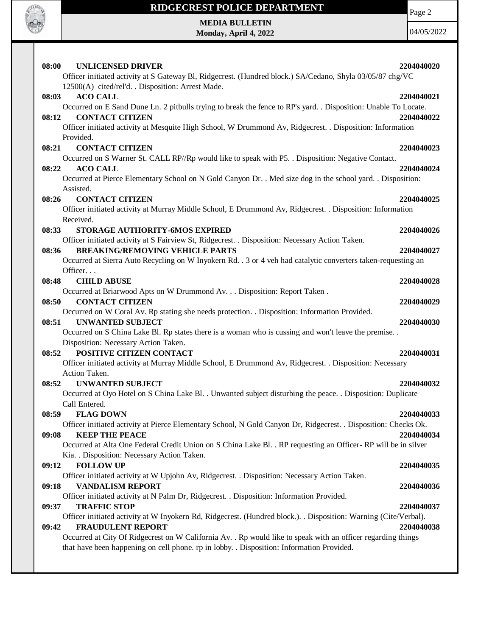

### **RIDGECREST POLICE DEPARTMENT**

Page 2

**MEDIA BULLETIN Monday, April 4, 2022**

| 08:00 | <b>UNLICENSED DRIVER</b>                                                                                               | 2204040020 |
|-------|------------------------------------------------------------------------------------------------------------------------|------------|
|       | Officer initiated activity at S Gateway Bl, Ridgecrest. (Hundred block.) SA/Cedano, Shyla 03/05/87 chg/VC              |            |
|       | 12500(A) cited/rel'd. . Disposition: Arrest Made.                                                                      |            |
| 08:03 | <b>ACO CALL</b>                                                                                                        | 2204040021 |
|       | Occurred on E Sand Dune Ln. 2 pitbulls trying to break the fence to RP's yard. . Disposition: Unable To Locate.        |            |
| 08:12 | <b>CONTACT CITIZEN</b>                                                                                                 | 2204040022 |
|       | Officer initiated activity at Mesquite High School, W Drummond Av, Ridgecrest. . Disposition: Information              |            |
|       | Provided.                                                                                                              |            |
| 08:21 | <b>CONTACT CITIZEN</b>                                                                                                 | 2204040023 |
|       | Occurred on S Warner St. CALL RP//Rp would like to speak with P5. . Disposition: Negative Contact.                     |            |
| 08:22 | <b>ACO CALL</b>                                                                                                        | 2204040024 |
|       | Occurred at Pierce Elementary School on N Gold Canyon Dr. . Med size dog in the school yard. . Disposition:            |            |
|       | Assisted.                                                                                                              |            |
| 08:26 | <b>CONTACT CITIZEN</b>                                                                                                 | 2204040025 |
|       | Officer initiated activity at Murray Middle School, E Drummond Av, Ridgecrest. . Disposition: Information<br>Received. |            |
|       | STORAGE AUTHORITY-6MOS EXPIRED                                                                                         | 2204040026 |
| 08:33 | Officer initiated activity at S Fairview St, Ridgecrest. . Disposition: Necessary Action Taken.                        |            |
| 08:36 | <b>BREAKING/REMOVING VEHICLE PARTS</b>                                                                                 | 2204040027 |
|       | Occurred at Sierra Auto Recycling on W Inyokern Rd. . 3 or 4 veh had catalytic converters taken-requesting an          |            |
|       | Officer.                                                                                                               |            |
| 08:48 | <b>CHILD ABUSE</b>                                                                                                     | 2204040028 |
|       | Occurred at Briarwood Apts on W Drummond Av. Disposition: Report Taken.                                                |            |
| 08:50 | <b>CONTACT CITIZEN</b>                                                                                                 | 2204040029 |
|       | Occurred on W Coral Av. Rp stating she needs protection. . Disposition: Information Provided.                          |            |
| 08:51 | <b>UNWANTED SUBJECT</b>                                                                                                | 2204040030 |
|       | Occurred on S China Lake Bl. Rp states there is a woman who is cussing and won't leave the premise                     |            |
|       | Disposition: Necessary Action Taken.                                                                                   |            |
| 08:52 | POSITIVE CITIZEN CONTACT                                                                                               | 2204040031 |
|       | Officer initiated activity at Murray Middle School, E Drummond Av, Ridgecrest. . Disposition: Necessary                |            |
|       | Action Taken.                                                                                                          |            |
| 08:52 | <b>UNWANTED SUBJECT</b>                                                                                                | 2204040032 |
|       | Occurred at Oyo Hotel on S China Lake Bl. . Unwanted subject disturbing the peace. . Disposition: Duplicate            |            |
|       | Call Entered.                                                                                                          |            |
| 08:59 | <b>FLAG DOWN</b>                                                                                                       | 2204040033 |
|       | Officer initiated activity at Pierce Elementary School, N Gold Canyon Dr, Ridgecrest. . Disposition: Checks Ok.        |            |
| 09:08 | <b>KEEP THE PEACE</b>                                                                                                  | 2204040034 |
|       | Occurred at Alta One Federal Credit Union on S China Lake Bl. . RP requesting an Officer-RP will be in silver          |            |
|       | Kia. . Disposition: Necessary Action Taken.                                                                            |            |
| 09:12 | <b>FOLLOW UP</b><br>Officer initiated activity at W Upjohn Av, Ridgecrest. . Disposition: Necessary Action Taken.      | 2204040035 |
| 09:18 | <b>VANDALISM REPORT</b>                                                                                                |            |
|       | Officer initiated activity at N Palm Dr, Ridgecrest. . Disposition: Information Provided.                              | 2204040036 |
| 09:37 | <b>TRAFFIC STOP</b>                                                                                                    | 2204040037 |
|       | Officer initiated activity at W Inyokern Rd, Ridgecrest. (Hundred block.). . Disposition: Warning (Cite/Verbal).       |            |
| 09:42 | <b>FRAUDULENT REPORT</b>                                                                                               | 2204040038 |
|       | Occurred at City Of Ridgecrest on W California Av. . Rp would like to speak with an officer regarding things           |            |
|       | that have been happening on cell phone. rp in lobby. . Disposition: Information Provided.                              |            |
|       |                                                                                                                        |            |
|       |                                                                                                                        |            |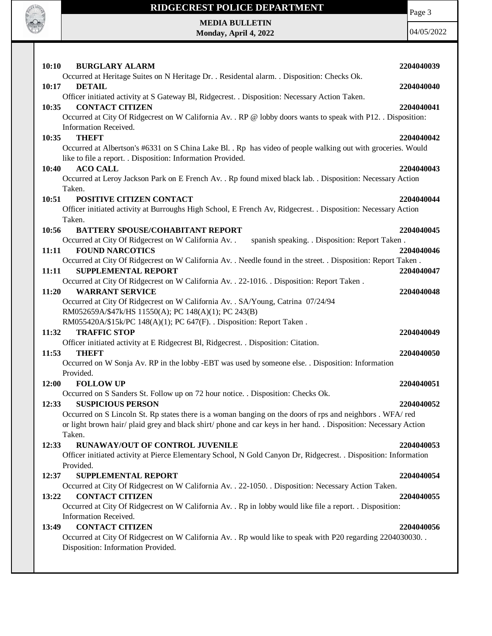

# **RIDGECREST POLICE DEPARTMENT MEDIA BULLETIN**

**Monday, April 4, 2022**

Page 3

| 10:10<br><b>BURGLARY ALARM</b>                                                                                   | 2204040039 |
|------------------------------------------------------------------------------------------------------------------|------------|
| Occurred at Heritage Suites on N Heritage Dr. . Residental alarm. . Disposition: Checks Ok.                      |            |
| <b>DETAIL</b><br>10:17                                                                                           | 2204040040 |
| Officer initiated activity at S Gateway Bl, Ridgecrest. . Disposition: Necessary Action Taken.                   |            |
| <b>CONTACT CITIZEN</b><br>10:35                                                                                  | 2204040041 |
| Occurred at City Of Ridgecrest on W California Av. . RP @ lobby doors wants to speak with P12. . Disposition:    |            |
| Information Received.                                                                                            |            |
| <b>THEFT</b><br>10:35                                                                                            | 2204040042 |
| Occurred at Albertson's #6331 on S China Lake Bl. . Rp has video of people walking out with groceries. Would     |            |
| like to file a report. . Disposition: Information Provided.                                                      |            |
| <b>ACO CALL</b><br>10:40                                                                                         | 2204040043 |
| Occurred at Leroy Jackson Park on E French Av. . Rp found mixed black lab. . Disposition: Necessary Action       |            |
| Taken.                                                                                                           |            |
| POSITIVE CITIZEN CONTACT<br>10:51                                                                                | 2204040044 |
| Officer initiated activity at Burroughs High School, E French Av, Ridgecrest. . Disposition: Necessary Action    |            |
| Taken.                                                                                                           |            |
| <b>BATTERY SPOUSE/COHABITANT REPORT</b><br>10:56                                                                 | 2204040045 |
| Occurred at City Of Ridgecrest on W California Av. .<br>spanish speaking. . Disposition: Report Taken.           |            |
| <b>FOUND NARCOTICS</b><br>11:11                                                                                  | 2204040046 |
| Occurred at City Of Ridgecrest on W California Av. . Needle found in the street. . Disposition: Report Taken.    |            |
| <b>SUPPLEMENTAL REPORT</b><br>11:11                                                                              | 2204040047 |
| Occurred at City Of Ridgecrest on W California Av. . 22-1016. . Disposition: Report Taken.                       |            |
| <b>WARRANT SERVICE</b><br>11:20                                                                                  | 2204040048 |
| Occurred at City Of Ridgecrest on W California Av. . SA/Young, Catrina 07/24/94                                  |            |
| RM052659A/\$47k/HS 11550(A); PC 148(A)(1); PC 243(B)                                                             |            |
| RM055420A/\$15k/PC 148(A)(1); PC 647(F). . Disposition: Report Taken.                                            |            |
| <b>TRAFFIC STOP</b><br>11:32                                                                                     | 2204040049 |
| Officer initiated activity at E Ridgecrest Bl, Ridgecrest. . Disposition: Citation.                              |            |
| <b>THEFT</b><br>11:53                                                                                            | 2204040050 |
| Occurred on W Sonja Av. RP in the lobby -EBT was used by someone else. . Disposition: Information                |            |
| Provided.                                                                                                        |            |
| <b>FOLLOW UP</b><br>12:00                                                                                        | 2204040051 |
| Occurred on S Sanders St. Follow up on 72 hour notice. . Disposition: Checks Ok.                                 |            |
| <b>SUSPICIOUS PERSON</b><br>12:33                                                                                | 2204040052 |
| Occurred on S Lincoln St. Rp states there is a woman banging on the doors of rps and neighbors . WFA/red         |            |
| or light brown hair/ plaid grey and black shirt/ phone and car keys in her hand. . Disposition: Necessary Action |            |
| Taken.                                                                                                           |            |
| RUNAWAY/OUT OF CONTROL JUVENILE<br>12:33                                                                         | 2204040053 |
| Officer initiated activity at Pierce Elementary School, N Gold Canyon Dr, Ridgecrest. . Disposition: Information |            |
| Provided.                                                                                                        |            |
| <b>SUPPLEMENTAL REPORT</b><br>12:37                                                                              | 2204040054 |
| Occurred at City Of Ridgecrest on W California Av. . 22-1050. . Disposition: Necessary Action Taken.             |            |
| <b>CONTACT CITIZEN</b><br>13:22                                                                                  | 2204040055 |
| Occurred at City Of Ridgecrest on W California Av. . Rp in lobby would like file a report. . Disposition:        |            |
| Information Received.                                                                                            |            |
| <b>CONTACT CITIZEN</b><br>13:49                                                                                  | 2204040056 |
| Occurred at City Of Ridgecrest on W California Av. . Rp would like to speak with P20 regarding 2204030030. .     |            |
| Disposition: Information Provided.                                                                               |            |
|                                                                                                                  |            |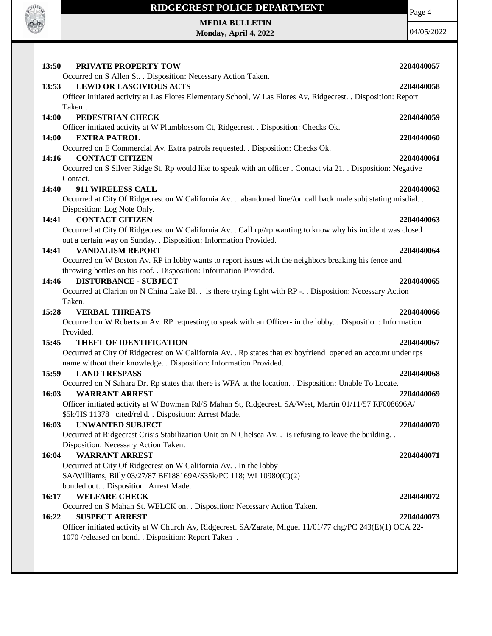

#### **RIDGECREST POLICE DEPARTMENT**

Page 4

**MEDIA BULLETIN Monday, April 4, 2022**

| 13:50<br>PRIVATE PROPERTY TOW                                                                                                                                                                        | 2204040057 |
|------------------------------------------------------------------------------------------------------------------------------------------------------------------------------------------------------|------------|
| Occurred on S Allen St. . Disposition: Necessary Action Taken.<br><b>LEWD OR LASCIVIOUS ACTS</b><br>13:53                                                                                            | 2204040058 |
| Officer initiated activity at Las Flores Elementary School, W Las Flores Av, Ridgecrest. . Disposition: Report<br>Taken.                                                                             |            |
| 14:00<br>PEDESTRIAN CHECK<br>Officer initiated activity at W Plumblossom Ct, Ridgecrest. . Disposition: Checks Ok.                                                                                   | 2204040059 |
| <b>EXTRA PATROL</b><br>14:00                                                                                                                                                                         | 2204040060 |
| Occurred on E Commercial Av. Extra patrols requested. . Disposition: Checks Ok.<br><b>CONTACT CITIZEN</b><br>14:16                                                                                   | 2204040061 |
| Occurred on S Silver Ridge St. Rp would like to speak with an officer. Contact via 21. Disposition: Negative<br>Contact.                                                                             |            |
| 911 WIRELESS CALL<br>14:40                                                                                                                                                                           | 2204040062 |
| Occurred at City Of Ridgecrest on W California Av. . abandoned line//on call back male subj stating misdial<br>Disposition: Log Note Only.                                                           |            |
| <b>CONTACT CITIZEN</b><br>14:41                                                                                                                                                                      | 2204040063 |
| Occurred at City Of Ridgecrest on W California Av. . Call rp//rp wanting to know why his incident was closed<br>out a certain way on Sunday. . Disposition: Information Provided.                    |            |
| <b>VANDALISM REPORT</b><br>14:41                                                                                                                                                                     | 2204040064 |
| Occurred on W Boston Av. RP in lobby wants to report issues with the neighbors breaking his fence and<br>throwing bottles on his roof. . Disposition: Information Provided.                          |            |
| <b>DISTURBANCE - SUBJECT</b><br>14:46                                                                                                                                                                | 2204040065 |
| Occurred at Clarion on N China Lake Bl. . is there trying fight with RP - Disposition: Necessary Action<br>Taken.                                                                                    |            |
|                                                                                                                                                                                                      |            |
|                                                                                                                                                                                                      | 2204040066 |
| 15:28<br><b>VERBAL THREATS</b><br>Occurred on W Robertson Av. RP requesting to speak with an Officer- in the lobby. . Disposition: Information                                                       |            |
| Provided.<br><b>THEFT OF IDENTIFICATION</b><br>15:45                                                                                                                                                 | 2204040067 |
| Occurred at City Of Ridgecrest on W California Av. . Rp states that ex boyfriend opened an account under rps                                                                                         |            |
| name without their knowledge. . Disposition: Information Provided.<br><b>LAND TRESPASS</b><br>15:59                                                                                                  | 2204040068 |
| Occurred on N Sahara Dr. Rp states that there is WFA at the location. . Disposition: Unable To Locate.                                                                                               |            |
| <b>WARRANT ARREST</b><br>16:03<br>Officer initiated activity at W Bowman Rd/S Mahan St, Ridgecrest. SA/West, Martin 01/11/57 RF008696A/                                                              | 2204040069 |
| \$5k/HS 11378 cited/rel'd. . Disposition: Arrest Made.<br><b>UNWANTED SUBJECT</b><br>16:03                                                                                                           | 2204040070 |
| Occurred at Ridgecrest Crisis Stabilization Unit on N Chelsea Av. . is refusing to leave the building. .                                                                                             |            |
| Disposition: Necessary Action Taken.<br><b>WARRANT ARREST</b><br>16:04                                                                                                                               | 2204040071 |
| Occurred at City Of Ridgecrest on W California Av. . In the lobby<br>SA/Williams, Billy 03/27/87 BF188169A/\$35k/PC 118; WI 10980(C)(2)                                                              |            |
| bonded out. . Disposition: Arrest Made.                                                                                                                                                              |            |
| <b>WELFARE CHECK</b><br>16:17                                                                                                                                                                        | 2204040072 |
| Occurred on S Mahan St. WELCK on. . Disposition: Necessary Action Taken.                                                                                                                             |            |
| 16:22<br><b>SUSPECT ARREST</b><br>Officer initiated activity at W Church Av, Ridgecrest. SA/Zarate, Miguel 11/01/77 chg/PC 243(E)(1) OCA 22-<br>1070 /released on bond. . Disposition: Report Taken. | 2204040073 |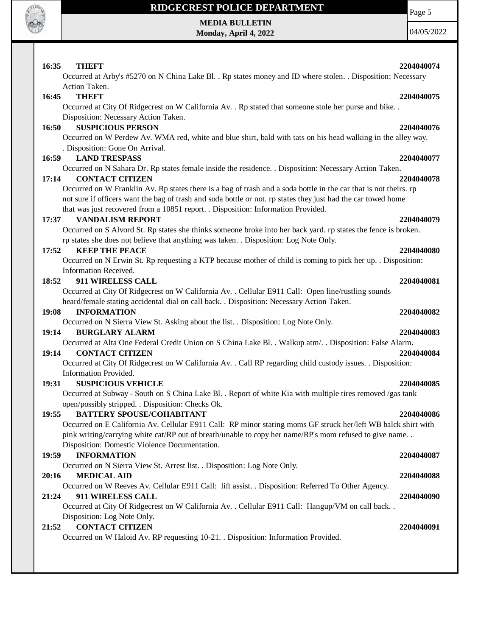

# **RIDGECREST POLICE DEPARTMENT MEDIA BULLETIN**

**Monday, April 4, 2022**

Page 5

| 16:35<br><b>THEFT</b><br>Occurred at Arby's #5270 on N China Lake Bl. . Rp states money and ID where stolen. . Disposition: Necessary                                                                                                                                                                                  | 2204040074 |
|------------------------------------------------------------------------------------------------------------------------------------------------------------------------------------------------------------------------------------------------------------------------------------------------------------------------|------------|
| Action Taken.<br><b>THEFT</b><br>16:45<br>Occurred at City Of Ridgecrest on W California Av. . Rp stated that someone stole her purse and bike. .                                                                                                                                                                      | 2204040075 |
| Disposition: Necessary Action Taken.<br><b>SUSPICIOUS PERSON</b><br>16:50<br>Occurred on W Perdew Av. WMA red, white and blue shirt, bald with tats on his head walking in the alley way.<br>. Disposition: Gone On Arrival.                                                                                           | 2204040076 |
| 16:59<br><b>LAND TRESPASS</b>                                                                                                                                                                                                                                                                                          | 2204040077 |
| Occurred on N Sahara Dr. Rp states female inside the residence. . Disposition: Necessary Action Taken.<br><b>CONTACT CITIZEN</b><br>17:14                                                                                                                                                                              | 2204040078 |
| Occurred on W Franklin Av. Rp states there is a bag of trash and a soda bottle in the car that is not theirs. rp<br>not sure if officers want the bag of trash and soda bottle or not. rp states they just had the car towed home<br>that was just recovered from a 10851 report. . Disposition: Information Provided. |            |
| <b>VANDALISM REPORT</b><br>17:37                                                                                                                                                                                                                                                                                       | 2204040079 |
| Occurred on S Alvord St. Rp states she thinks someone broke into her back yard. rp states the fence is broken.<br>rp states she does not believe that anything was taken. . Disposition: Log Note Only.                                                                                                                |            |
| <b>KEEP THE PEACE</b><br>17:52<br>Occurred on N Erwin St. Rp requesting a KTP because mother of child is coming to pick her up. . Disposition:                                                                                                                                                                         | 2204040080 |
| Information Received.                                                                                                                                                                                                                                                                                                  |            |
| 911 WIRELESS CALL<br>18:52                                                                                                                                                                                                                                                                                             | 2204040081 |
| Occurred at City Of Ridgecrest on W California Av. . Cellular E911 Call: Open line/rustling sounds<br>heard/female stating accidental dial on call back. . Disposition: Necessary Action Taken.                                                                                                                        |            |
| 19:08<br><b>INFORMATION</b>                                                                                                                                                                                                                                                                                            | 2204040082 |
| Occurred on N Sierra View St. Asking about the list. . Disposition: Log Note Only.                                                                                                                                                                                                                                     |            |
| 19:14<br><b>BURGLARY ALARM</b><br>Occurred at Alta One Federal Credit Union on S China Lake Bl. . Walkup atm/. . Disposition: False Alarm.                                                                                                                                                                             | 2204040083 |
| <b>CONTACT CITIZEN</b><br>19:14                                                                                                                                                                                                                                                                                        | 2204040084 |
| Occurred at City Of Ridgecrest on W California Av. . Call RP regarding child custody issues. . Disposition:                                                                                                                                                                                                            |            |
| Information Provided.                                                                                                                                                                                                                                                                                                  |            |
| 19:31<br><b>SUSPICIOUS VEHICLE</b>                                                                                                                                                                                                                                                                                     | 2204040085 |
| Occurred at Subway - South on S China Lake Bl. . Report of white Kia with multiple tires removed /gas tank                                                                                                                                                                                                             |            |
| open/possibly stripped. . Disposition: Checks Ok.                                                                                                                                                                                                                                                                      |            |
| 19:55<br><b>BATTERY SPOUSE/COHABITANT</b>                                                                                                                                                                                                                                                                              | 2204040086 |
| Occurred on E California Av. Cellular E911 Call: RP minor stating moms GF struck her/left WB balck shirt with<br>pink writing/carrying white cat/RP out of breath/unable to copy her name/RP's mom refused to give name<br>Disposition: Domestic Violence Documentation.                                               |            |
| <b>INFORMATION</b><br>19:59                                                                                                                                                                                                                                                                                            | 2204040087 |
| Occurred on N Sierra View St. Arrest list. . Disposition: Log Note Only.                                                                                                                                                                                                                                               |            |
| <b>MEDICAL AID</b><br>20:16                                                                                                                                                                                                                                                                                            | 2204040088 |
| Occurred on W Reeves Av. Cellular E911 Call: lift assist. . Disposition: Referred To Other Agency.<br>911 WIRELESS CALL<br>21:24                                                                                                                                                                                       | 2204040090 |
| Occurred at City Of Ridgecrest on W California Av. . Cellular E911 Call: Hangup/VM on call back. .<br>Disposition: Log Note Only.                                                                                                                                                                                      |            |
| <b>CONTACT CITIZEN</b><br>21:52                                                                                                                                                                                                                                                                                        | 2204040091 |
| Occurred on W Haloid Av. RP requesting 10-21. Disposition: Information Provided.                                                                                                                                                                                                                                       |            |
|                                                                                                                                                                                                                                                                                                                        |            |